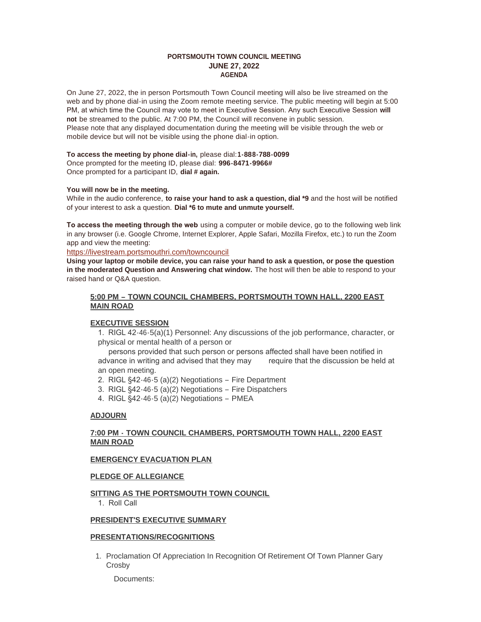#### **PORTSMOUTH TOWN COUNCIL MEETING JUNE 27, 2022 AGENDA**

On June 27, 2022, the in person Portsmouth Town Council meeting will also be live streamed on the web and by phone dial-in using the Zoom remote meeting service. The public meeting will begin at 5:00 PM, at which time the Council may vote to meet in Executive Session. Any such Executive Session **will not** be streamed to the public. At 7:00 PM, the Council will reconvene in public session. Please note that any displayed documentation during the meeting will be visible through the web or mobile device but will not be visible using the phone dial-in option.

#### **To access the meeting by phone dial-in,** please dial:**1-888-788-0099**

Once prompted for the meeting ID, please dial: **996-8471-9966#** Once prompted for a participant ID, **dial # again.**

#### **You will now be in the meeting.**

While in the audio conference, **to raise your hand to ask a question, dial \*9** and the host will be notified of your interest to ask a question. **Dial \*6 to mute and unmute yourself.**

**To access the meeting through the web** using a computer or mobile device, go to the following web link in any browser (i.e. Google Chrome, Internet Explorer, Apple Safari, Mozilla Firefox, etc.) to run the Zoom app and view the meeting:

<https://livestream.portsmouthri.com/towncouncil>

**Using your laptop or mobile device, you can raise your hand to ask a question, or pose the question in the moderated Question and Answering chat window.** The host will then be able to respond to your raised hand or Q&A question.

### **5:00 PM – TOWN COUNCIL CHAMBERS, PORTSMOUTH TOWN HALL, 2200 EAST MAIN ROAD**

### **EXECUTIVE SESSION**

1. RIGL 42-46-5(a)(1) Personnel: Any discussions of the job performance, character, or physical or mental health of a person or

 persons provided that such person or persons affected shall have been notified in advance in writing and advised that they may require that the discussion be held at an open meeting.

- 2. RIGL §42-46-5 (a)(2) Negotiations Fire Department
- 3. RIGL §42-46-5 (a)(2) Negotiations Fire Dispatchers
- 4. RIGL §42-46-5 (a)(2) Negotiations PMEA

#### **ADJOURN**

### **7:00 PM - TOWN COUNCIL CHAMBERS, PORTSMOUTH TOWN HALL, 2200 EAST MAIN ROAD**

### **EMERGENCY EVACUATION PLAN**

#### **PLEDGE OF ALLEGIANCE**

### **SITTING AS THE PORTSMOUTH TOWN COUNCIL**

1. Roll Call

#### **PRESIDENT'S EXECUTIVE SUMMARY**

#### **PRESENTATIONS/RECOGNITIONS**

1. Proclamation Of Appreciation In Recognition Of Retirement Of Town Planner Gary Crosby

Documents: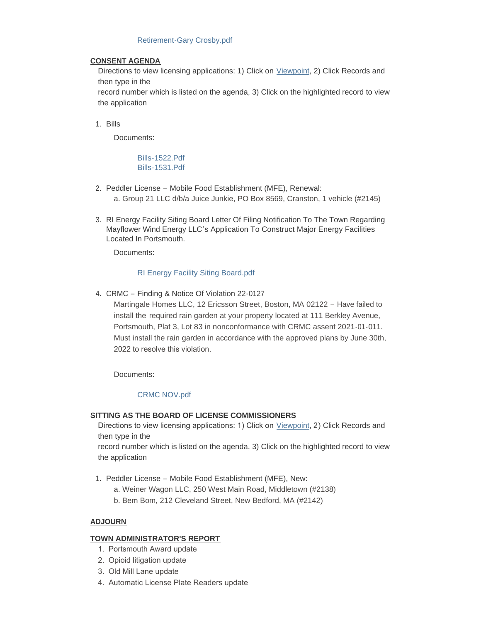### [Retirement-Gary Crosby.pdf](https://www.portsmouthri.gov/AgendaCenter/ViewFile/Item/9168?fileID=12201)

### **CONSENT AGENDA**

Directions to view licensing applications: 1) Click on [Viewpoint](https://portsmouthri.viewpointcloud.com/search), 2) Click Records and then type in the

record number which is listed on the agenda, 3) Click on the highlighted record to view the application

Bills 1.

Documents:

[Bills-1522.Pdf](https://www.portsmouthri.gov/AgendaCenter/ViewFile/Item/9182?fileID=12205) [Bills-1531.Pdf](https://www.portsmouthri.gov/AgendaCenter/ViewFile/Item/9182?fileID=12206)

- 2. Peddler License Mobile Food Establishment (MFE), Renewal: a. Group 21 LLC d/b/a Juice Junkie, PO Box 8569, Cranston, 1 vehicle (#2145)
- 3. RI Energy Facility Siting Board Letter Of Filing Notification To The Town Regarding Mayflower Wind Energy LLC's Application To Construct Major Energy Facilities Located In Portsmouth.

Documents:

## [RI Energy Facility Siting Board.pdf](https://www.portsmouthri.gov/AgendaCenter/ViewFile/Item/9167?fileID=12200)

CRMC – Finding & Notice Of Violation 22-0127 4.

Martingale Homes LLC, 12 Ericsson Street, Boston, MA 02122 – Have failed to install the required rain garden at your property located at 111 Berkley Avenue, Portsmouth, Plat 3, Lot 83 in nonconformance with CRMC assent 2021-01-011. Must install the rain garden in accordance with the approved plans by June 30th, 2022 to resolve this violation.

Documents:

# [CRMC NOV.pdf](https://www.portsmouthri.gov/AgendaCenter/ViewFile/Item/9166?fileID=12199)

# **SITTING AS THE BOARD OF LICENSE COMMISSIONERS**

Directions to view licensing applications: 1) Click on *[Viewpoint](https://portsmouthri.viewpointcloud.com/search)*, 2) Click Records and then type in the

record number which is listed on the agenda, 3) Click on the highlighted record to view the application

- 1. Peddler License Mobile Food Establishment (MFE), New:
	- a. Weiner Wagon LLC, 250 West Main Road, Middletown (#2138)
	- b. Bem Bom, 212 Cleveland Street, New Bedford, MA (#2142)

# **ADJOURN**

# **TOWN ADMINISTRATOR'S REPORT**

- 1. Portsmouth Award update
- 2. Opioid litigation update
- 3. Old Mill Lane update
- 4. Automatic License Plate Readers update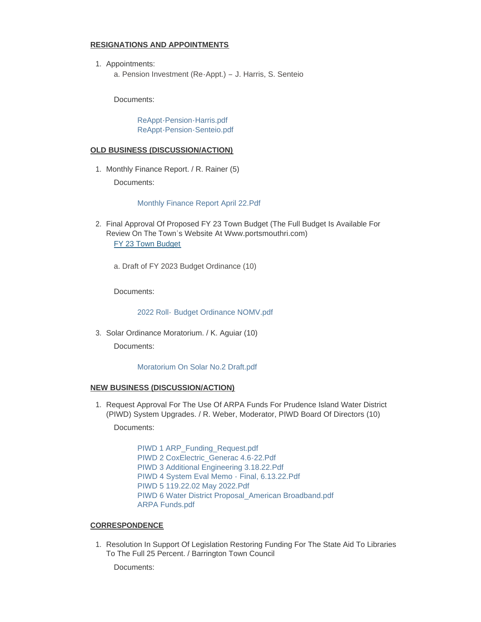### **RESIGNATIONS AND APPOINTMENTS**

1. Appointments: a. Pension Investment (Re-Appt.) – J. Harris, S. Senteio

Documents:

[ReAppt-Pension-Harris.pdf](https://www.portsmouthri.gov/AgendaCenter/ViewFile/Item/9164?fileID=12197) [ReAppt-Pension-Senteio.pdf](https://www.portsmouthri.gov/AgendaCenter/ViewFile/Item/9164?fileID=12198)

#### **OLD BUSINESS (DISCUSSION/ACTION)**

1. Monthly Finance Report. / R. Rainer (5)

Documents:

#### [Monthly Finance Report April 22.Pdf](https://www.portsmouthri.gov/AgendaCenter/ViewFile/Item/9163?fileID=12196)

- 2. Final Approval Of Proposed FY 23 Town Budget (The Full Budget Is Available For Review On The Town's Website At Www.portsmouthri.com) [FY 23 Town Budget](https://www.portsmouthri.gov/ArchiveCenter/ViewFile/Item/370)
	- a. Draft of FY 2023 Budget Ordinance (10)

Documents:

#### 2022 Roll- [Budget Ordinance NOMV.pdf](https://www.portsmouthri.gov/AgendaCenter/ViewFile/Item/9170?fileID=12204)

Solar Ordinance Moratorium. / K. Aguiar (10) 3. Documents:

#### [Moratorium On Solar No.2 Draft.pdf](https://www.portsmouthri.gov/AgendaCenter/ViewFile/Item/9162?fileID=12195)

### **NEW BUSINESS (DISCUSSION/ACTION)**

1. Request Approval For The Use Of ARPA Funds For Prudence Island Water District (PIWD) System Upgrades. / R. Weber, Moderator, PIWD Board Of Directors (10)

Documents:

[PIWD 1 ARP\\_Funding\\_Request.pdf](https://www.portsmouthri.gov/AgendaCenter/ViewFile/Item/9156?fileID=12183) [PIWD 2 CoxElectric\\_Generac 4.6-22.Pdf](https://www.portsmouthri.gov/AgendaCenter/ViewFile/Item/9156?fileID=12184) [PIWD 3 Additional Engineering 3.18.22.Pdf](https://www.portsmouthri.gov/AgendaCenter/ViewFile/Item/9156?fileID=12185) [PIWD 4 System Eval Memo - Final, 6.13.22.Pdf](https://www.portsmouthri.gov/AgendaCenter/ViewFile/Item/9156?fileID=12186) [PIWD 5 119.22.02 May 2022.Pdf](https://www.portsmouthri.gov/AgendaCenter/ViewFile/Item/9156?fileID=12187) [PIWD 6 Water District Proposal\\_American Broadband.pdf](https://www.portsmouthri.gov/AgendaCenter/ViewFile/Item/9156?fileID=12188) [ARPA Funds.pdf](https://www.portsmouthri.gov/AgendaCenter/ViewFile/Item/9156?fileID=12189)

#### **CORRESPONDENCE**

1. Resolution In Support Of Legislation Restoring Funding For The State Aid To Libraries To The Full 25 Percent. / Barrington Town Council

Documents: